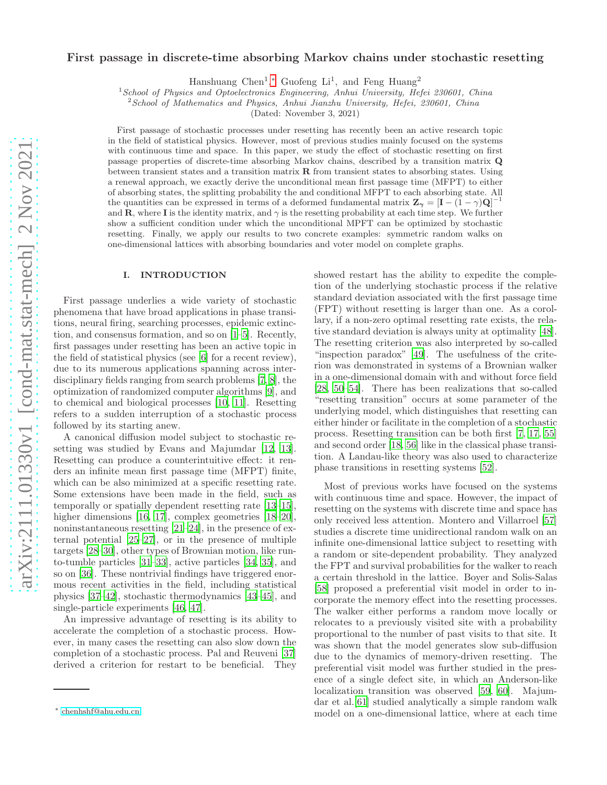# First passage in discrete-time absorbing Markov chains under stochastic resetting

Hanshuang Chen<sup>1</sup>,\* Guofeng Li<sup>1</sup>, and Feng Huang<sup>2</sup>

<sup>1</sup>School of Physics and Optoelectronics Engineering, Anhui University, Hefei 230601, China

 $2^{2}$ School of Mathematics and Physics, Anhui Jianzhu University, Hefei, 230601, China

(Dated: November 3, 2021)

First passage of stochastic processes under resetting has recently been an active research topic in the field of statistical physics. However, most of previous studies mainly focused on the systems with continuous time and space. In this paper, we study the effect of stochastic resetting on first passage properties of discrete-time absorbing Markov chains, described by a transition matrix Q between transient states and a transition matrix  $\bf R$  from transient states to absorbing states. Using a renewal approach, we exactly derive the unconditional mean first passage time (MFPT) to either of absorbing states, the splitting probability the and conditional MFPT to each absorbing state. All the quantities can be expressed in terms of a deformed fundamental matrix  $\mathbf{Z}_{\gamma} = [\mathbf{I} - (\mathbf{I} - \gamma)\mathbf{Q}]^{-1}$ and  $\mathbf{R}$ , where I is the identity matrix, and  $\gamma$  is the resetting probability at each time step. We further show a sufficient condition under which the unconditional MPFT can be optimized by stochastic resetting. Finally, we apply our results to two concrete examples: symmetric random walks on one-dimensional lattices with absorbing boundaries and voter model on complete graphs.

#### I. INTRODUCTION

First passage underlies a wide variety of stochastic phenomena that have broad applications in phase transitions, neural firing, searching processes, epidemic extinction, and consensus formation, and so on [\[1](#page-8-0)[–5\]](#page-8-1). Recently, first passages under resetting has been an active topic in the field of statistical physics (see [\[6\]](#page-8-2) for a recent review), due to its numerous applications spanning across interdisciplinary fields ranging from search problems [\[7](#page-8-3), [8](#page-8-4)], the optimization of randomized computer algorithms [\[9\]](#page-8-5), and to chemical and biological processes [\[10,](#page-8-6) [11](#page-8-7)]. Resetting refers to a sudden interruption of a stochastic process followed by its starting anew.

A canonical diffusion model subject to stochastic resetting was studied by Evans and Majumdar [\[12,](#page-8-8) [13\]](#page-8-9). Resetting can produce a counterintuitive effect: it renders an infinite mean first passage time (MFPT) finite, which can be also minimized at a specific resetting rate. Some extensions have been made in the field, such as temporally or spatially dependent resetting rate [\[13](#page-8-9)[–15\]](#page-8-10), higher dimensions [\[16,](#page-8-11) [17](#page-8-12)], complex geometries [\[18](#page-8-13)[–20\]](#page-8-14), noninstantaneous resetting [\[21](#page-8-15)[–24\]](#page-8-16), in the presence of external potential [\[25](#page-8-17)[–27\]](#page-8-18), or in the presence of multiple targets [\[28](#page-8-19)[–30](#page-8-20)], other types of Brownian motion, like runto-tumble particles [\[31](#page-8-21)[–33\]](#page-8-22), active particles [\[34,](#page-8-23) [35](#page-8-24)], and so on [\[36](#page-8-25)]. These nontrivial findings have triggered enormous recent activities in the field, including statistical physics [\[37](#page-8-26)[–42](#page-8-27)], stochastic thermodynamics [\[43](#page-8-28)[–45](#page-8-29)], and single-particle experiments [\[46](#page-8-30), [47](#page-8-31)].

An impressive advantage of resetting is its ability to accelerate the completion of a stochastic process. However, in many cases the resetting can also slow down the completion of a stochastic process. Pal and Reuveni [\[37](#page-8-26)] derived a criterion for restart to be beneficial. They

showed restart has the ability to expedite the completion of the underlying stochastic process if the relative standard deviation associated with the first passage time (FPT) without resetting is larger than one. As a corollary, if a non-zero optimal resetting rate exists, the relative standard deviation is always unity at optimality [\[48\]](#page-8-32). The resetting criterion was also interpreted by so-called "inspection paradox" [\[49](#page-8-33)]. The usefulness of the criterion was demonstrated in systems of a Brownian walker in a one-dimensional domain with and without force field [\[28,](#page-8-19) [50](#page-8-34)[–54\]](#page-9-0). There has been realizations that so-called "resetting transition" occurs at some parameter of the underlying model, which distinguishes that resetting can either hinder or facilitate in the completion of a stochastic process. Resetting transition can be both first [\[7,](#page-8-3) [17,](#page-8-12) [55](#page-9-1)] and second order [\[18,](#page-8-13) [56\]](#page-9-2) like in the classical phase transition. A Landau-like theory was also used to characterize phase transitions in resetting systems [\[52\]](#page-8-35).

Most of previous works have focused on the systems with continuous time and space. However, the impact of resetting on the systems with discrete time and space has only received less attention. Montero and Villarroel [\[57](#page-9-3)] studies a discrete time unidirectional random walk on an infinite one-dimensional lattice subject to resetting with a random or site-dependent probability. They analyzed the FPT and survival probabilities for the walker to reach a certain threshold in the lattice. Boyer and Solis-Salas [\[58\]](#page-9-4) proposed a preferential visit model in order to incorporate the memory effect into the resetting processes. The walker either performs a random move locally or relocates to a previously visited site with a probability proportional to the number of past visits to that site. It was shown that the model generates slow sub-diffusion due to the dynamics of memory-driven resetting. The preferential visit model was further studied in the presence of a single defect site, in which an Anderson-like localization transition was observed [\[59,](#page-9-5) [60\]](#page-9-6). Majumdar et al.[\[61](#page-9-7)] studied analytically a simple random walk model on a one-dimensional lattice, where at each time

<span id="page-0-0"></span><sup>∗</sup> [chenhshf@ahu.edu.cn](mailto:chenhshf@ahu.edu.cn)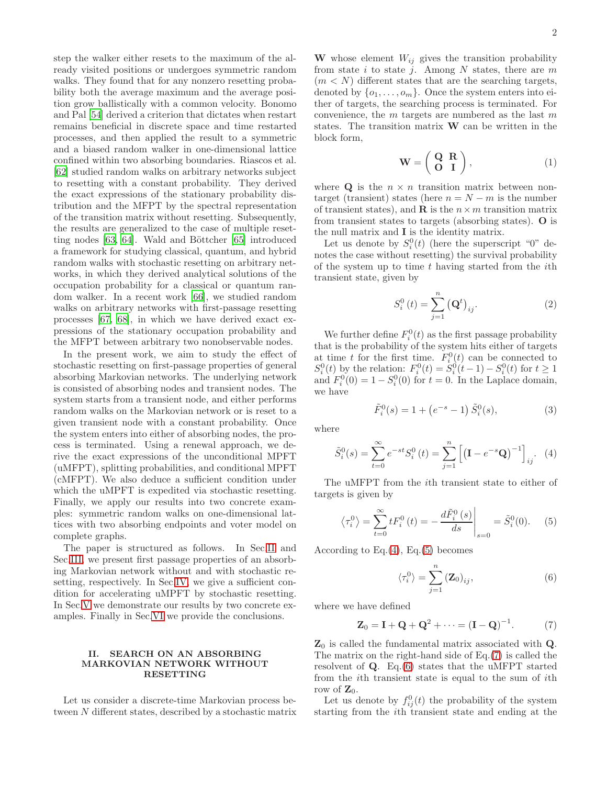step the walker either resets to the maximum of the already visited positions or undergoes symmetric random walks. They found that for any nonzero resetting probability both the average maximum and the average position grow ballistically with a common velocity. Bonomo and Pal [\[54\]](#page-9-0) derived a criterion that dictates when restart remains beneficial in discrete space and time restarted processes, and then applied the result to a symmetric and a biased random walker in one-dimensional lattice confined within two absorbing boundaries. Riascos et al. [\[62\]](#page-9-8) studied random walks on arbitrary networks subject to resetting with a constant probability. They derived the exact expressions of the stationary probability distribution and the MFPT by the spectral representation of the transition matrix without resetting. Subsequently, the results are generalized to the case of multiple resetting nodes  $[63, 64]$  $[63, 64]$  $[63, 64]$ . Wald and Böttcher  $[65]$  introduced a framework for studying classical, quantum, and hybrid random walks with stochastic resetting on arbitrary networks, in which they derived analytical solutions of the occupation probability for a classical or quantum random walker. In a recent work [\[66\]](#page-9-12), we studied random walks on arbitrary networks with first-passage resetting processes [\[67](#page-9-13), [68\]](#page-9-14), in which we have derived exact expressions of the stationary occupation probability and the MFPT between arbitrary two nonobservable nodes.

In the present work, we aim to study the effect of stochastic resetting on first-passage properties of general absorbing Markovian networks. The underlying network is consisted of absorbing nodes and transient nodes. The system starts from a transient node, and either performs random walks on the Markovian network or is reset to a given transient node with a constant probability. Once the system enters into either of absorbing nodes, the process is terminated. Using a renewal approach, we derive the exact expressions of the unconditional MPFT (uMFPT), splitting probabilities, and conditional MPFT (cMFPT). We also deduce a sufficient condition under which the uMPFT is expedited via stochastic resetting. Finally, we apply our results into two concrete examples: symmetric random walks on one-dimensional lattices with two absorbing endpoints and voter model on complete graphs.

The paper is structured as follows. In Sec[.II](#page-1-0) and Sec[.III,](#page-2-0) we present first passage properties of an absorbing Markovian network without and with stochastic resetting, respectively. In Sec[.IV,](#page-3-0) we give a sufficient condition for accelerating uMPFT by stochastic resetting. In Sec[.V](#page-3-1) we demonstrate our results by two concrete examples. Finally in Sec[.VI](#page-7-0) we provide the conclusions.

# <span id="page-1-0"></span>II. SEARCH ON AN ABSORBING MARKOVIAN NETWORK WITHOUT RESETTING

Let us consider a discrete-time Markovian process between N different states, described by a stochastic matrix

W whose element  $W_{ij}$  gives the transition probability from state i to state j. Among  $N$  states, there are  $m$  $(m < N)$  different states that are the searching targets, denoted by  $\{o_1, \ldots, o_m\}$ . Once the system enters into either of targets, the searching process is terminated. For convenience, the  $m$  targets are numbered as the last  $m$ states. The transition matrix W can be written in the block form,

$$
\mathbf{W} = \left( \begin{array}{cc} \mathbf{Q} & \mathbf{R} \\ \mathbf{O} & \mathbf{I} \end{array} \right), \tag{1}
$$

where **Q** is the  $n \times n$  transition matrix between nontarget (transient) states (here  $n = N - m$  is the number of transient states), and **R** is the  $n \times m$  transition matrix from transient states to targets (absorbing states). O is the null matrix and I is the identity matrix.

Let us denote by  $S_i^0(t)$  (here the superscript "0" denotes the case without resetting) the survival probability of the system up to time  $t$  having started from the *i*th transient state, given by

$$
S_i^0(t) = \sum_{j=1}^n (\mathbf{Q}^t)_{ij}.
$$
 (2)

We further define  $F_i^0(t)$  as the first passage probability that is the probability of the system hits either of targets at time t for the first time.  $F_i^0(t)$  can be connected to  $S_i^0(t)$  by the relation:  $F_i^0(t) = S_i^0(t-1) - S_i^0(t)$  for  $t \ge 1$ and  $F_i^0(0) = 1 - S_i^0(0)$  for  $t = 0$ . In the Laplace domain, we have

$$
\tilde{F}_i^0(s) = 1 + \left(e^{-s} - 1\right)\tilde{S}_i^0(s),\tag{3}
$$

where

<span id="page-1-1"></span>
$$
\tilde{S}_i^0(s) = \sum_{t=0}^{\infty} e^{-st} S_i^0(t) = \sum_{j=1}^n \left[ \left( \mathbf{I} - e^{-s} \mathbf{Q} \right)^{-1} \right]_{ij}.
$$
 (4)

The uMFPT from the ith transient state to either of targets is given by

<span id="page-1-2"></span>
$$
\langle \tau_i^0 \rangle = \sum_{t=0}^{\infty} t F_i^0(t) = -\frac{d\tilde{F}_i^0(s)}{ds} \bigg|_{s=0} = \tilde{S}_i^0(0).
$$
 (5)

According to Eq. $(4)$ , Eq. $(5)$  becomes

<span id="page-1-4"></span>
$$
\langle \tau_i^0 \rangle = \sum_{j=1}^n (\mathbf{Z}_0)_{ij}, \tag{6}
$$

where we have defined

<span id="page-1-3"></span>
$$
\mathbf{Z}_0 = \mathbf{I} + \mathbf{Q} + \mathbf{Q}^2 + \dots = (\mathbf{I} - \mathbf{Q})^{-1}.
$$
 (7)

 $\mathbf{Z}_0$  is called the fundamental matrix associated with **Q**. The matrix on the right-hand side of Eq.[\(7\)](#page-1-3) is called the resolvent of  $Q$ . Eq.[\(6\)](#page-1-4) states that the uMFPT started from the ith transient state is equal to the sum of ith row of  $\mathbf{Z}_0$ .

Let us denote by  $f_{ij}^0(t)$  the probability of the system starting from the ith transient state and ending at the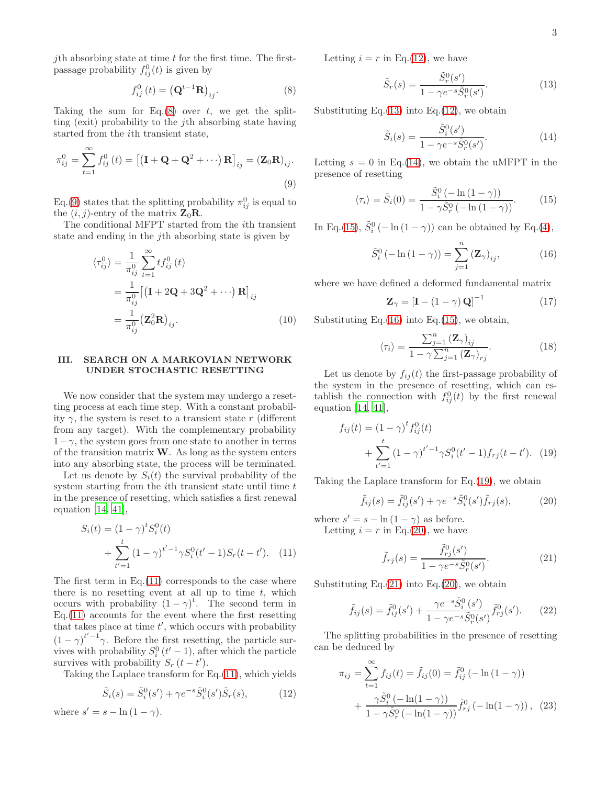jth absorbing state at time  $t$  for the first time. The firstpassage probability  $f_{ij}^0(t)$  is given by

<span id="page-2-1"></span>
$$
f_{ij}^0(t) = \left(\mathbf{Q}^{t-1}\mathbf{R}\right)_{ij}.\tag{8}
$$

Taking the sum for Eq. $(8)$  over t, we get the splitting (exit) probability to the jth absorbing state having started from the ith transient state,

<span id="page-2-2"></span>
$$
\pi_{ij}^0 = \sum_{t=1}^{\infty} f_{ij}^0(t) = \left[ \left( \mathbf{I} + \mathbf{Q} + \mathbf{Q}^2 + \cdots \right) \mathbf{R} \right]_{ij} = \left( \mathbf{Z}_0 \mathbf{R} \right)_{ij}.
$$
\n(9)

Eq.[\(9\)](#page-2-2) states that the splitting probability  $\pi_{ij}^0$  is equal to the  $(i, j)$ -entry of the matrix  $\mathbf{Z}_0 \mathbf{R}$ .

The conditional MFPT started from the ith transient state and ending in the jth absorbing state is given by

$$
\langle \tau_{ij}^0 \rangle = \frac{1}{\pi_{ij}^0} \sum_{t=1}^{\infty} t f_{ij}^0(t)
$$
  
= 
$$
\frac{1}{\pi_{ij}^0} \left[ \left( \mathbf{I} + 2\mathbf{Q} + 3\mathbf{Q}^2 + \cdots \right) \mathbf{R} \right]_{ij}
$$
  
= 
$$
\frac{1}{\pi_{ij}^0} \left( \mathbf{Z}_0^2 \mathbf{R} \right)_{ij}.
$$
 (10)

### <span id="page-2-0"></span>III. SEARCH ON A MARKOVIAN NETWORK UNDER STOCHASTIC RESETTING

We now consider that the system may undergo a resetting process at each time step. With a constant probability  $\gamma$ , the system is reset to a transient state r (different from any target). With the complementary probability  $1-\gamma$ , the system goes from one state to another in terms of the transition matrix  $W$ . As long as the system enters into any absorbing state, the process will be terminated.

Let us denote by  $S_i(t)$  the survival probability of the system starting from the  $i$ th transient state until time  $t$ in the presence of resetting, which satisfies a first renewal equation [\[14,](#page-8-36) [41\]](#page-8-37),

<span id="page-2-3"></span>
$$
S_i(t) = (1 - \gamma)^t S_i^0(t)
$$
  
+ 
$$
\sum_{t'=1}^t (1 - \gamma)^{t'-1} \gamma S_i^0(t'-1) S_r(t-t'). \quad (11)
$$

The first term in  $Eq.(11)$  $Eq.(11)$  corresponds to the case where there is no resetting event at all up to time  $t$ , which occurs with probability  $(1 - \gamma)^t$ . The second term in Eq.[\(11\)](#page-2-3) accounts for the event where the first resetting that takes place at time  $t'$ , which occurs with probability  $(1 - \gamma)^{t'-1}$ . Before the first resetting, the particle survives with probability  $S_i^0$  ( $t' - 1$ ), after which the particle survives with probability  $S_r(t-t')$ .

Taking the Laplace transform for Eq.[\(11\)](#page-2-3), which yields

<span id="page-2-4"></span>
$$
\tilde{S}_i(s) = \tilde{S}_i^0(s') + \gamma e^{-s} \tilde{S}_i^0(s') \tilde{S}_r(s),
$$
\n(12)

where  $s' = s - \ln(1 - \gamma)$ .

Letting  $i = r$  in Eq.[\(12\)](#page-2-4), we have

<span id="page-2-5"></span>
$$
\tilde{S}_r(s) = \frac{\tilde{S}_r^0(s')}{1 - \gamma e^{-s} \tilde{S}_r^0(s')}.
$$
\n(13)

Substituting Eq.[\(13\)](#page-2-5) into Eq.[\(12\)](#page-2-4), we obtain

<span id="page-2-6"></span>
$$
\tilde{S}_i(s) = \frac{\tilde{S}_i^0(s')}{1 - \gamma e^{-s} \tilde{S}_r^0(s')}.
$$
\n(14)

Letting  $s = 0$  in Eq.[\(14\)](#page-2-6), we obtain the uMFPT in the presence of resetting

<span id="page-2-7"></span>
$$
\langle \tau_i \rangle = \tilde{S}_i(0) = \frac{\tilde{S}_i^0 \left( -\ln\left(1 - \gamma\right) \right)}{1 - \gamma \tilde{S}_i^0 \left( -\ln\left(1 - \gamma\right) \right)}.
$$
 (15)

In Eq.[\(15\)](#page-2-7),  $\tilde{S}_i^0$  (- ln (1 -  $\gamma$ )) can be obtained by Eq.[\(4\)](#page-1-1),

<span id="page-2-8"></span>
$$
\tilde{S}_i^0 \left( -\ln\left(1-\gamma\right) \right) = \sum_{j=1}^n \left( \mathbf{Z}_\gamma \right)_{ij},\tag{16}
$$

where we have defined a deformed fundamental matrix

<span id="page-2-15"></span>
$$
\mathbf{Z}_{\gamma} = \left[\mathbf{I} - (1 - \gamma) \,\mathbf{Q}\right]^{-1} \tag{17}
$$

Substituting Eq. $(16)$  into Eq. $(15)$ , we obtain,

<span id="page-2-14"></span>
$$
\langle \tau_i \rangle = \frac{\sum_{j=1}^n (\mathbf{Z}_\gamma)_{ij}}{1 - \gamma \sum_{j=1}^n (\mathbf{Z}_\gamma)_{rj}}.
$$
 (18)

Let us denote by  $f_{ij}(t)$  the first-passage probability of the system in the presence of resetting, which can establish the connection with  $f_{ij}^0(t)$  by the first renewal equation [\[14,](#page-8-36) [41\]](#page-8-37),

<span id="page-2-9"></span>
$$
f_{ij}(t) = (1 - \gamma)^t f_{ij}^0(t)
$$
  
+ 
$$
\sum_{t'=1}^t (1 - \gamma)^{t'-1} \gamma S_i^0(t'-1) f_{rj}(t-t'). \quad (19)
$$

Taking the Laplace transform for Eq.[\(19\)](#page-2-9), we obtain

<span id="page-2-10"></span>
$$
\tilde{f}_{ij}(s) = \tilde{f}_{ij}^{0}(s') + \gamma e^{-s} \tilde{S}_{i}^{0}(s') \tilde{f}_{rj}(s),
$$
\n(20)

where  $s' = s - \ln(1 - \gamma)$  as before. Letting  $i = r$  in Eq.[\(20\)](#page-2-10), we have

<span id="page-2-11"></span>
$$
\tilde{f}_{rj}(s) = \frac{\tilde{f}_{rj}^{0}(s')}{1 - \gamma e^{-s} \tilde{S}_{r}^{0}(s')}.
$$
\n(21)

Substituting Eq. $(21)$  into Eq. $(20)$ , we obtain

<span id="page-2-13"></span>
$$
\tilde{f}_{ij}(s) = \tilde{f}_{ij}^{0}(s') + \frac{\gamma e^{-s} \tilde{S}_{i}^{0}(s')}{1 - \gamma e^{-s} \tilde{S}_{r}^{0}(s')} \tilde{f}_{rj}^{0}(s').
$$
\n(22)

The splitting probabilities in the presence of resetting can be deduced by

<span id="page-2-12"></span>
$$
\pi_{ij} = \sum_{t=1}^{\infty} f_{ij}(t) = \tilde{f}_{ij}(0) = \tilde{f}_{ij}^{0} \left( -\ln(1-\gamma) \right)
$$

$$
+ \frac{\gamma \tilde{S}_{i}^{0} \left( -\ln(1-\gamma) \right)}{1 - \gamma \tilde{S}_{r}^{0} \left( -\ln(1-\gamma) \right)} \tilde{f}_{rj}^{0} \left( -\ln(1-\gamma) \right), (23)
$$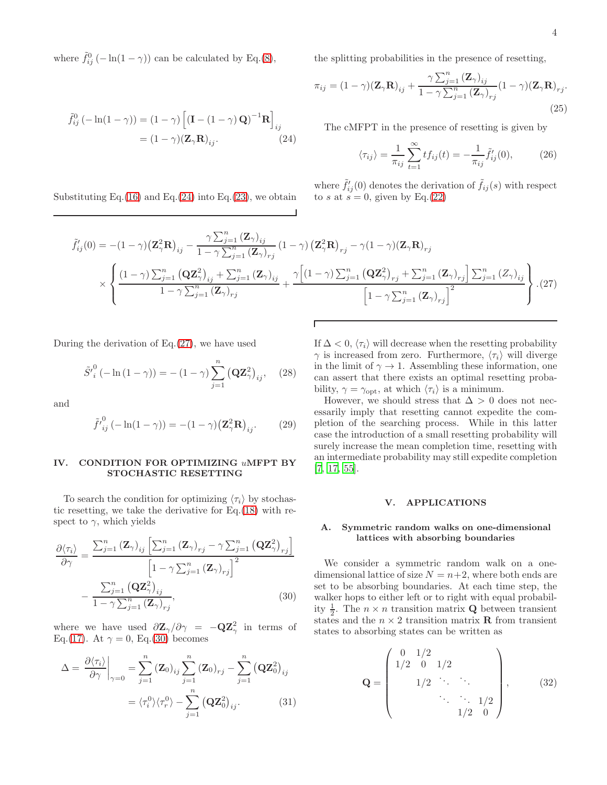where  $\tilde{f}_{ij}^0$  (-ln(1 -  $\gamma$ )) can be calculated by Eq.[\(8\)](#page-2-1),

<span id="page-3-2"></span>
$$
\tilde{f}_{ij}^{0} \left( -\ln(1-\gamma) \right) = (1-\gamma) \left[ \left( \mathbf{I} - (1-\gamma) \mathbf{Q} \right)^{-1} \mathbf{R} \right]_{ij}
$$

$$
= (1-\gamma) \left( \mathbf{Z}_{\gamma} \mathbf{R} \right)_{ij}.
$$
(24)

Substituting Eq. $(16)$  and Eq. $(24)$  into Eq. $(23)$ , we obtain

the splitting probabilities in the presence of resetting,

$$
\pi_{ij} = (1 - \gamma)(\mathbf{Z}_{\gamma}\mathbf{R})_{ij} + \frac{\gamma \sum_{j=1}^{n} (\mathbf{Z}_{\gamma})_{ij}}{1 - \gamma \sum_{j=1}^{n} (\mathbf{Z}_{\gamma})_{rj}} (1 - \gamma)(\mathbf{Z}_{\gamma}\mathbf{R})_{rj}.
$$
\n(25)

The cMFPT in the presence of resetting is given by

$$
\langle \tau_{ij} \rangle = \frac{1}{\pi_{ij}} \sum_{t=1}^{\infty} t f_{ij}(t) = -\frac{1}{\pi_{ij}} \tilde{f}'_{ij}(0), \qquad (26)
$$

where  $\tilde{f}'_{ij}(0)$  denotes the derivation of  $\tilde{f}_{ij}(s)$  with respect to s at  $s = 0$ , given by Eq.[\(22\)](#page-2-13)

<span id="page-3-3"></span>
$$
\tilde{f}_{ij}'(0) = -(1-\gamma)\left(\mathbf{Z}_{\gamma}^{2}\mathbf{R}\right)_{ij} - \frac{\gamma \sum_{j=1}^{n} \left(\mathbf{Z}_{\gamma}\right)_{ij}}{1-\gamma \sum_{j=1}^{n} \left(\mathbf{Z}_{\gamma}\right)_{rj}} \left(1-\gamma\right) \left(\mathbf{Z}_{\gamma}^{2}\mathbf{R}\right)_{rj} - \gamma(1-\gamma)\left(\mathbf{Z}_{\gamma}\mathbf{R}\right)_{rj}
$$
\n
$$
\times \left\{ \frac{\left(1-\gamma\right)\sum_{j=1}^{n} \left(\mathbf{Q}\mathbf{Z}_{\gamma}^{2}\right)_{ij} + \sum_{j=1}^{n} \left(\mathbf{Z}_{\gamma}\right)_{ij}}{1-\gamma \sum_{j=1}^{n} \left(\mathbf{Z}_{\gamma}\right)_{rj}} + \frac{\gamma\left[\left(1-\gamma\right)\sum_{j=1}^{n} \left(\mathbf{Q}\mathbf{Z}_{\gamma}^{2}\right)_{rj} + \sum_{j=1}^{n} \left(\mathbf{Z}_{\gamma}\right)_{rj}\right] \sum_{j=1}^{n} \left(\mathbf{Z}_{\gamma}\right)_{ij}}{\left[1-\gamma \sum_{j=1}^{n} \left(\mathbf{Z}_{\gamma}\right)_{rj}\right]^{2}} \right\} .\tag{27}
$$

During the derivation of Eq.[\(27\)](#page-3-3), we have used

$$
\tilde{S'}_{i}^{0}(-\ln(1-\gamma)) = -(1-\gamma)\sum_{j=1}^{n} (\mathbf{Q}\mathbf{Z}_{\gamma}^{2})_{ij}, \quad (28)
$$

and

$$
\tilde{f'}_{ij}^{0}(-\ln(1-\gamma)) = -(1-\gamma)\left(\mathbf{Z}_{\gamma}^{2}\mathbf{R}\right)_{ij}.
$$
 (29)

## <span id="page-3-0"></span>IV. CONDITION FOR OPTIMIZING uMFPT BY STOCHASTIC RESETTING

To search the condition for optimizing  $\langle \tau_i \rangle$  by stochastic resetting, we take the derivative for Eq.[\(18\)](#page-2-14) with respect to  $\gamma$ , which yields

<span id="page-3-4"></span>
$$
\frac{\partial \langle \tau_i \rangle}{\partial \gamma} = \frac{\sum_{j=1}^n (\mathbf{Z}_\gamma)_{ij} \left[ \sum_{j=1}^n (\mathbf{Z}_\gamma)_{rj} - \gamma \sum_{j=1}^n (\mathbf{Q} \mathbf{Z}_\gamma^2)_{rj} \right]}{\left[ 1 - \gamma \sum_{j=1}^n (\mathbf{Z}_\gamma)_{rj} \right]^2}
$$

$$
- \frac{\sum_{j=1}^n (\mathbf{Q} \mathbf{Z}_\gamma^2)_{ij}}{1 - \gamma \sum_{j=1}^n (\mathbf{Z}_\gamma)_{rj}},
$$
(30)

where we have used  $\frac{\partial \mathbf{Z}_{\gamma}}{\partial \gamma} = -\mathbf{Q}\mathbf{Z}_{\gamma}^2$  in terms of Eq.[\(17\)](#page-2-15). At  $\gamma = 0$ , Eq.[\(30\)](#page-3-4) becomes

<span id="page-3-5"></span>
$$
\Delta = \frac{\partial \langle \tau_i \rangle}{\partial \gamma} \bigg|_{\gamma=0} = \sum_{j=1}^n (\mathbf{Z}_0)_{ij} \sum_{j=1}^n (\mathbf{Z}_0)_{rj} - \sum_{j=1}^n (\mathbf{Q} \mathbf{Z}_0^2)_{ij}
$$

$$
= \langle \tau_i^0 \rangle \langle \tau_r^0 \rangle - \sum_{j=1}^n (\mathbf{Q} \mathbf{Z}_0^2)_{ij}.
$$
(31)

If  $\Delta < 0$ ,  $\langle \tau_i \rangle$  will decrease when the resetting probability  $\gamma$  is increased from zero. Furthermore,  $\langle \tau_i \rangle$  will diverge in the limit of  $\gamma \rightarrow 1$ . Assembling these information, one can assert that there exists an optimal resetting probability,  $\gamma = \gamma_{\text{opt}}$ , at which  $\langle \tau_i \rangle$  is a minimum.

However, we should stress that  $\Delta > 0$  does not necessarily imply that resetting cannot expedite the completion of the searching process. While in this latter case the introduction of a small resetting probability will surely increase the mean completion time, resetting with an intermediate probability may still expedite completion [\[7,](#page-8-3) [17,](#page-8-12) [55\]](#page-9-1).

# <span id="page-3-1"></span>V. APPLICATIONS

### A. Symmetric random walks on one-dimensional lattices with absorbing boundaries

We consider a symmetric random walk on a onedimensional lattice of size  $N = n+2$ , where both ends are set to be absorbing boundaries. At each time step, the walker hops to either left or to right with equal probability  $\frac{1}{2}$ . The  $n \times n$  transition matrix **Q** between transient states and the  $n \times 2$  transition matrix **R** from transient states to absorbing states can be written as

$$
\mathbf{Q} = \begin{pmatrix} 0 & 1/2 \\ 1/2 & 0 & 1/2 \\ & 1/2 & \ddots & \ddots \\ & & \ddots & \ddots & 1/2 \\ & & & 1/2 & 0 \end{pmatrix}, \qquad (32)
$$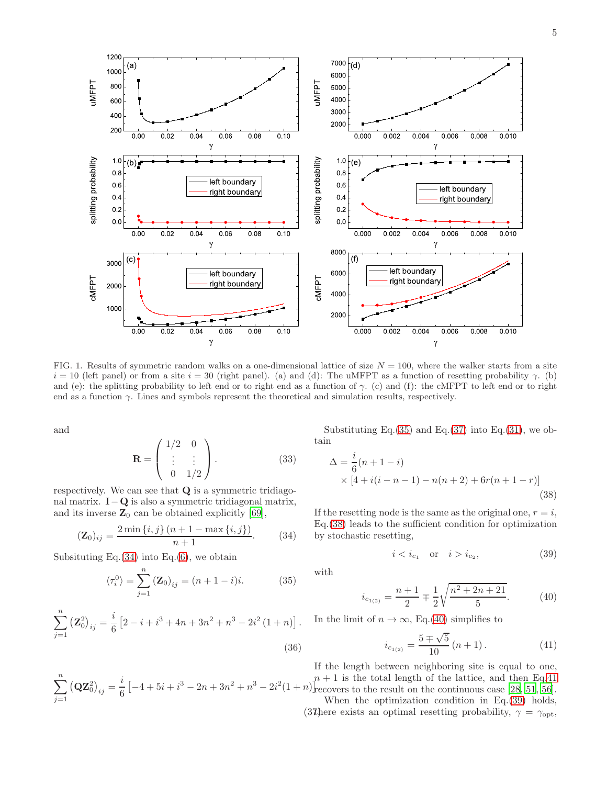

<span id="page-4-7"></span>FIG. 1. Results of symmetric random walks on a one-dimensional lattice of size  $N = 100$ , where the walker starts from a site  $i = 10$  (left panel) or from a site  $i = 30$  (right panel). (a) and (d): The uMFPT as a function of resetting probability  $\gamma$ . (b) and (e): the splitting probability to left end or to right end as a function of  $\gamma$ . (c) and (f): the cMFPT to left end or to right end as a function  $\gamma$ . Lines and symbols represent the theoretical and simulation results, respectively.

and

$$
\mathbf{R} = \begin{pmatrix} 1/2 & 0 \\ \vdots & \vdots \\ 0 & 1/2 \end{pmatrix} . \tag{33}
$$

respectively. We can see that Q is a symmetric tridiagonal matrix.  $I-Q$  is also a symmetric tridiagonal matrix, and its inverse  $\mathbb{Z}_0$  can be obtained explicitly [\[69\]](#page-9-15),

<span id="page-4-0"></span>
$$
(\mathbf{Z}_0)_{ij} = \frac{2\min\{i,j\}(n+1-\max\{i,j\})}{n+1}.
$$
 (34)

Subsituting Eq. $(34)$  into Eq. $(6)$ , we obtain

<span id="page-4-1"></span>
$$
\langle \tau_i^0 \rangle = \sum_{j=1}^n (\mathbf{Z}_0)_{ij} = (n+1-i)i.
$$
 (35)

$$
\sum_{j=1}^{n} (\mathbf{Z}_{0}^{2})_{ij} = \frac{i}{6} \left[ 2 - i + i^{3} + 4n + 3n^{2} + n^{3} - 2i^{2} (1 + n) \right].
$$
\n(36)

Substituting Eq.[\(35\)](#page-4-1) and Eq.[\(37\)](#page-4-2) into Eq.[\(31\)](#page-3-5), we obtain

<span id="page-4-3"></span>
$$
\Delta = \frac{i}{6}(n+1-i)
$$
  
× [4 + i(i - n - 1) - n(n + 2) + 6r(n + 1 - r)] (38)

If the resetting node is the same as the original one,  $r = i$ , Eq.[\(38\)](#page-4-3) leads to the sufficient condition for optimization by stochastic resetting,

<span id="page-4-6"></span>
$$
i < i_{c_1}
$$
 or  $i > i_{c_2}$ , (39)

with

<span id="page-4-4"></span>
$$
i_{c_{1(2)}} = \frac{n+1}{2} \mp \frac{1}{2} \sqrt{\frac{n^2 + 2n + 21}{5}}.
$$
 (40)

In the limit of  $n \to \infty$ , Eq.[\(40\)](#page-4-4) simplifies to

<span id="page-4-5"></span>
$$
i_{c_{1(2)}} = \frac{5 \pm \sqrt{5}}{10} (n+1).
$$
 (41)

<span id="page-4-2"></span> $\sum_{n=1}^{\infty}$  $j=1$  $(QZ_0^2)_{ij} = \frac{i}{6}$  $\frac{1}{6} \left[ -4 + 5i + i^3 - 2n + 3n^2 + n^3 - 2i^2(1+n) \right]_{\text{ref}}^3$ 

If the length between neighboring site is equal to one,  $n + 1$  is the total length of the lattice, and then Eq[.41](#page-4-5) recovers to the result on the continuous case [\[28,](#page-8-19) [51,](#page-8-38) [56\]](#page-9-2).

When the optimization condition in Eq.[\(39\)](#page-4-6) holds,

(37) there exists an optimal resetting probability,  $\gamma = \gamma_{\text{opt}}$ ,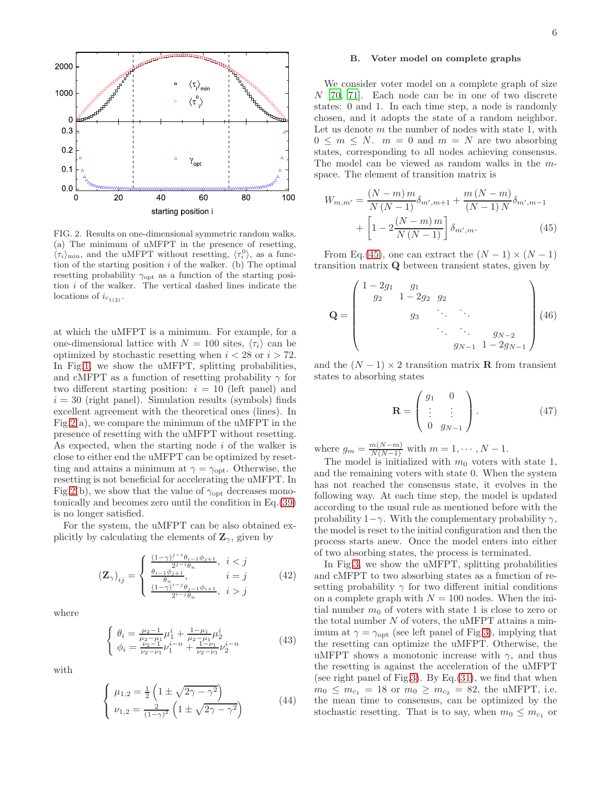

<span id="page-5-0"></span>FIG. 2. Results on one-dimensional symmetric random walks. (a) The minimum of uMFPT in the presence of resetting,  $\langle \tau_i \rangle_{\text{min}}$ , and the uMFPT without resetting,  $\langle \tau_i^0 \rangle$ , as a function of the starting position  $i$  of the walker. (b) The optimal resetting probability  $\gamma_{\text{opt}}$  as a function of the starting position  $i$  of the walker. The vertical dashed lines indicate the locations of  $i_{c_{1(2)}}$ .

at which the uMFPT is a minimum. For example, for a one-dimensional lattice with  $N = 100$  sites,  $\langle \tau_i \rangle$  can be optimized by stochastic resetting when  $i < 28$  or  $i > 72$ . In Fig[.1,](#page-4-7) we show the uMFPT, splitting probabilities, and cMFPT as a function of resetting probability  $\gamma$  for two different starting position:  $i = 10$  (left panel) and  $i = 30$  (right panel). Simulation results (symbols) finds excellent agreement with the theoretical ones (lines). In Fig[.2\(](#page-5-0)a), we compare the minimum of the uMFPT in the presence of resetting with the uMFPT without resetting. As expected, when the starting node  $i$  of the walker is close to either end the uMFPT can be optimized by resetting and attains a minimum at  $\gamma = \gamma_{\text{opt}}$ . Otherwise, the resetting is not beneficial for accelerating the uMFPT. In Fig[.2\(](#page-5-0)b), we show that the value of  $\gamma_{\text{opt}}$  decreases monotonically and becomes zero until the condition in Eq.[\(39\)](#page-4-6) is no longer satisfied.

For the system, the uMFPT can be also obtained explicitly by calculating the elements of  $\mathbf{Z}_{\gamma}$ , given by

$$
\left(\mathbf{Z}_{\gamma}\right)_{ij} = \begin{cases} \frac{(1-\gamma)^{j-i}\theta_{i-1}\phi_{j+1}}{2^{j-i}\theta_n}, & i < j \\ \frac{\theta_{i-1}\phi_{j+1}}{\theta_n}, & i = j \\ \frac{(1-\gamma)^{i-j}\theta_{j-1}\phi_{i+1}}{2^{i-j}\theta_n}, & i > j \end{cases}
$$
(42)

where

$$
\begin{cases}\n\theta_i = \frac{\mu_2 - 1}{\mu_2 - \mu_1} \mu_1^i + \frac{1 - \mu_1}{\mu_2 - \mu_1} \mu_2^i \\
\phi_i = \frac{\nu_2 - 1}{\nu_2 - \nu_1} \nu_1^{i - n} + \frac{1 - \nu_1}{\nu_2 - \nu_1} \nu_2^{i - n}\n\end{cases} (43)
$$

with

$$
\begin{cases}\n\mu_{1,2} = \frac{1}{2} \left( 1 \pm \sqrt{2\gamma - \gamma^2} \right) \\
\nu_{1,2} = \frac{2}{(1-\gamma)^2} \left( 1 \pm \sqrt{2\gamma - \gamma^2} \right)\n\end{cases} (44)
$$

### B. Voter model on complete graphs

We consider voter model on a complete graph of size  $N$  [\[70,](#page-9-16) [71](#page-9-17)]. Each node can be in one of two discrete states: 0 and 1. In each time step, a node is randomly chosen, and it adopts the state of a random neighbor. Let us denote  $m$  the number of nodes with state 1, with  $0 \leq m \leq N$ .  $m = 0$  and  $m = N$  are two absorbing states, corresponding to all nodes achieving consensus. The model can be viewed as random walks in the mspace. The element of transition matrix is

<span id="page-5-1"></span>
$$
W_{m,m'} = \frac{(N-m)m}{N(N-1)} \delta_{m',m+1} + \frac{m(N-m)}{(N-1)N} \delta_{m',m-1} + \left[1 - 2\frac{(N-m)m}{N(N-1)}\right] \delta_{m',m}.
$$
 (45)

From Eq.[\(45\)](#page-5-1), one can extract the  $(N-1) \times (N-1)$ transition matrix Q between transient states, given by

$$
\mathbf{Q} = \begin{pmatrix} 1 - 2g_1 & g_1 & & & \\ g_2 & 1 - 2g_2 & g_2 & & \\ & g_3 & \ddots & \ddots & \\ & & \ddots & \ddots & g_{N-2} \\ & & & g_{N-1} & 1 - 2g_{N-1} \end{pmatrix} (46)
$$

and the  $(N-1) \times 2$  transition matrix **R** from transient states to absorbing states

$$
\mathbf{R} = \begin{pmatrix} g_1 & 0 \\ \vdots & \vdots \\ 0 & g_{N-1} \end{pmatrix} . \tag{47}
$$

where  $g_m = \frac{m(N-m)}{N(N-1)}$  with  $m = 1, \dots, N - 1$ .

The model is initialized with  $m_0$  voters with state 1, and the remaining voters with state 0. When the system has not reached the consensus state, it evolves in the following way. At each time step, the model is updated according to the usual rule as mentioned before with the probability  $1-\gamma$ . With the complementary probability  $\gamma$ , the model is reset to the initial configuration and then the process starts anew. Once the model enters into either of two absorbing states, the process is terminated.

In Fig[.3,](#page-6-0) we show the uMFPT, splitting probabilities and cMFPT to two absorbing states as a function of resetting probability  $\gamma$  for two different initial conditions on a complete graph with  $N = 100$  nodes. When the initial number  $m_0$  of voters with state 1 is close to zero or the total number  $N$  of voters, the uMFPT attains a minimum at  $\gamma = \gamma_{\text{opt}}$  (see left panel of Fig[.3\)](#page-6-0), implying that the resetting can optimize the uMFPT. Otherwise, the uMFPT shows a monotonic increase with  $\gamma$ , and thus the resetting is against the acceleration of the uMFPT (see right panel of Fig[.3\)](#page-6-0). By Eq.  $(31)$ , we find that when  $m_0 \leq m_{c_1} = 18$  or  $m_0 \geq m_{c_2} = 82$ , the uMFPT, i.e. the mean time to consensus, can be optimized by the stochastic resetting. That is to say, when  $m_0 \leq m_{c_1}$  or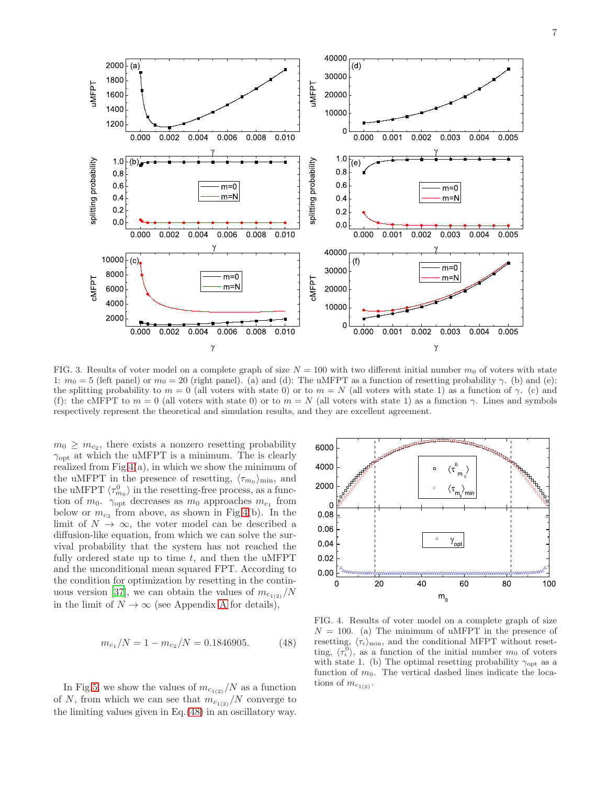



30000 40000

 $\cdots$ 

(ď

<span id="page-6-0"></span>FIG. 3. Results of voter model on a complete graph of size  $N = 100$  with two different initial number  $m_0$  of voters with state 1:  $m_0 = 5$  (left panel) or  $m_0 = 20$  (right panel). (a) and (d): The uMFPT as a function of resetting probability  $\gamma$ . (b) and (e): the splitting probability to  $m = 0$  (all voters with state 0) or to  $m = N$  (all voters with state 1) as a function of  $\gamma$ . (c) and (f): the cMFPT to  $m = 0$  (all voters with state 0) or to  $m = N$  (all voters with state 1) as a function  $\gamma$ . Lines and symbols respectively represent the theoretical and simulation results, and they are excellent agreement.

 $m_0 \geq m_{c_2}$ , there exists a nonzero resetting probability  $\gamma_{\text{opt}}$  at which the uMFPT is a minimum. The is clearly realized from  $Fig.4(a)$  $Fig.4(a)$  $Fig.4(a)$ , in which we show the minimum of the uMFPT in the presence of resetting,  $\langle \tau_{m_0} \rangle_{\text{min}}$ , and the uMFPT  $\langle \tau_{m_0}^0 \rangle$  in the resetting-free process, as a function of  $m_0$ .  $\gamma_{\text{opt}}$  decreases as  $m_0$  approaches  $m_{c_1}$  from below or  $m_{c_2}$  from above, as shown in Fig[.4\(](#page-6-1)b). In the limit of  $N \to \infty$ , the voter model can be described a diffusion-like equation, from which we can solve the survival probability that the system has not reached the fully ordered state up to time  $t$ , and then the uMFPT and the unconditional mean squared FPT. According to the condition for optimization by resetting in the contin-uous version [\[37](#page-8-26)], we can obtain the values of  $m_{c_{1(2)}}/N$ in the limit of  $N \to \infty$  (see [A](#page-7-1)ppendix A for details),

1800 \_\_\_\_\_\_\_

<span id="page-6-2"></span>
$$
m_{c_1}/N = 1 - m_{c_2}/N = 0.1846905.
$$
 (48)

In Fig[.5,](#page-7-2) we show the values of  $m_{c_{1(2)}}/N$  as a function of N, from which we can see that  $m_{c_{1(2)}}/N$  converge to the limiting values given in Eq.[\(48\)](#page-6-2) in an oscillatory way.



<span id="page-6-1"></span>FIG. 4. Results of voter model on a complete graph of size  $N = 100$ . (a) The minimum of uMFPT in the presence of resetting,  $\langle \tau_i \rangle_{\text{min}}$ , and the conditional MFPT without resetting,  $\langle \tau_i^0 \rangle$ , as a function of the initial number m<sub>0</sub> of voters with state 1. (b) The optimal resetting probability  $\gamma_{\text{opt}}$  as a function of  $m_0$ . The vertical dashed lines indicate the locations of  $m_{c_{1(2)}}$ .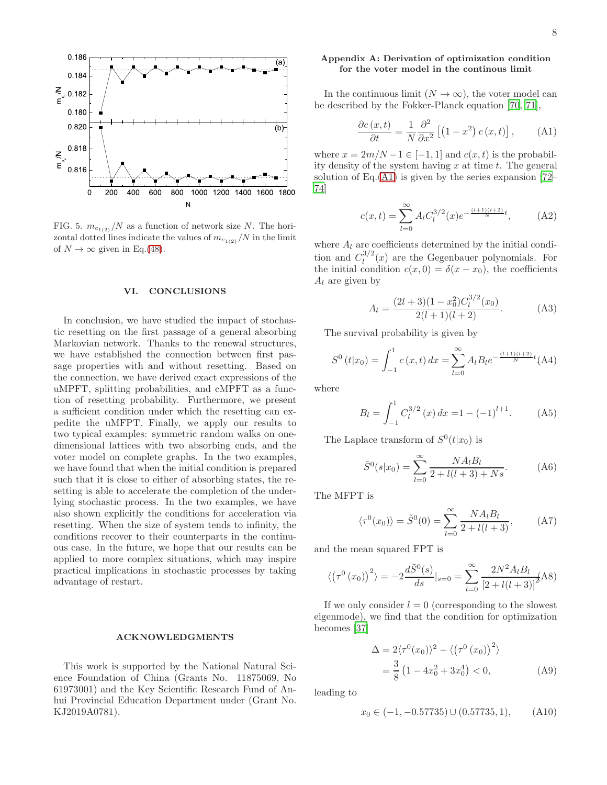

<span id="page-7-2"></span>FIG. 5.  $m_{c_{1(2)}}/N$  as a function of network size N. The horizontal dotted lines indicate the values of  $m_{c_{1(2)}}/N$  in the limit of  $N \to \infty$  given in Eq.[\(48\)](#page-6-2).

#### <span id="page-7-0"></span>VI. CONCLUSIONS

In conclusion, we have studied the impact of stochastic resetting on the first passage of a general absorbing Markovian network. Thanks to the renewal structures, we have established the connection between first passage properties with and without resetting. Based on the connection, we have derived exact expressions of the uMPFT, splitting probabilities, and cMPFT as a function of resetting probability. Furthermore, we present a sufficient condition under which the resetting can expedite the uMFPT. Finally, we apply our results to two typical examples: symmetric random walks on onedimensional lattices with two absorbing ends, and the voter model on complete graphs. In the two examples, we have found that when the initial condition is prepared such that it is close to either of absorbing states, the resetting is able to accelerate the completion of the underlying stochastic process. In the two examples, we have also shown explicitly the conditions for acceleration via resetting. When the size of system tends to infinity, the conditions recover to their counterparts in the continuous case. In the future, we hope that our results can be applied to more complex situations, which may inspire practical implications in stochastic processes by taking advantage of restart.

# ACKNOWLEDGMENTS

This work is supported by the National Natural Science Foundation of China (Grants No. 11875069, No 61973001) and the Key Scientific Research Fund of Anhui Provincial Education Department under (Grant No. KJ2019A0781).

# <span id="page-7-1"></span>Appendix A: Derivation of optimization condition for the voter model in the continous limit

In the continuous limit  $(N \to \infty)$ , the voter model can be described by the Fokker-Planck equation [\[70,](#page-9-16) [71\]](#page-9-17),

<span id="page-7-3"></span>
$$
\frac{\partial c(x,t)}{\partial t} = \frac{1}{N} \frac{\partial^2}{\partial x^2} \left[ \left( 1 - x^2 \right) c(x,t) \right], \quad \text{(A1)}
$$

where  $x = 2m/N - 1 \in [-1, 1]$  and  $c(x, t)$  is the probability density of the system having  $x$  at time  $t$ . The general solution of Eq. $(A1)$  is given by the series expansion [\[72](#page-9-18)– [74\]](#page-9-19)

$$
c(x,t) = \sum_{l=0}^{\infty} A_l C_l^{3/2}(x) e^{-\frac{(l+1)(l+2)}{N}t},
$$
 (A2)

where  $A_l$  are coefficients determined by the initial condition and  $C_l^{3/2}$  $\int_l^{3/2}(x)$  are the Gegenbauer polynomials. For the initial condition  $c(x, 0) = \delta(x - x_0)$ , the coefficients  $A_l$  are given by

$$
A_l = \frac{(2l+3)(1-x_0^2)C_l^{3/2}(x_0)}{2(l+1)(l+2)}.
$$
 (A3)

The survival probability is given by

$$
S^{0}(t|x_{0}) = \int_{-1}^{1} c(x, t) dx = \sum_{l=0}^{\infty} A_{l} B_{l} e^{-\frac{(l+1)(l+2)}{N}t} (A4)
$$

where

<span id="page-7-4"></span>
$$
B_l = \int_{-1}^{1} C_l^{3/2} (x) dx = 1 - (-1)^{l+1}.
$$
 (A5)

The Laplace transform of  $S^0(t|x_0)$  is

<span id="page-7-5"></span>
$$
\tilde{S}^0(s|x_0) = \sum_{l=0}^{\infty} \frac{NA_lB_l}{2 + l(l+3) + Ns}.
$$
 (A6)

The MFPT is

$$
\langle \tau^0(x_0) \rangle = \tilde{S}^0(0) = \sum_{l=0}^{\infty} \frac{NA_l B_l}{2 + l(l+3)},
$$
 (A7)

and the mean squared FPT is

$$
\langle (\tau^0(x_0))^2 \rangle = -2 \frac{d\tilde{S}^0(s)}{ds}|_{s=0} = \sum_{l=0}^{\infty} \frac{2N^2 A_l B_l}{[2 + l(l+3)]^2} (A8)
$$

If we only consider  $l = 0$  (corresponding to the slowest eigenmode), we find that the condition for optimization becomes [\[37](#page-8-26)]

$$
\Delta = 2\langle \tau^{0}(x_{0})\rangle^{2} - \langle (\tau^{0}(x_{0}))^{2}\rangle
$$
  
=  $\frac{3}{8}(1 - 4x_{0}^{2} + 3x_{0}^{4}) < 0,$  (A9)

leading to

$$
x_0 \in (-1, -0.57735) \cup (0.57735, 1), \quad (A10)
$$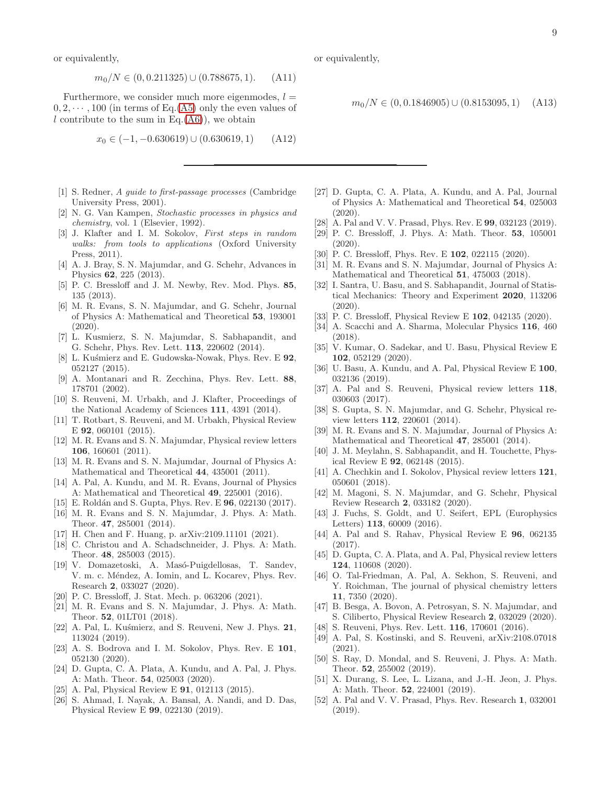9

or equivalently,

$$
m_0/N \in (0, 0.211325) \cup (0.788675, 1). \tag{A11}
$$

Furthermore, we consider much more eigenmodes,  $l =$  $0, 2, \dots, 100$  (in terms of Eq.[\(A5\)](#page-7-4) only the even values of l contribute to the sum in Eq. $(A6)$ , we obtain

$$
x_0 \in (-1, -0.630619) \cup (0.630619, 1) \quad (A12)
$$

- <span id="page-8-0"></span>[1] S. Redner, A guide to first-passage processes (Cambridge University Press, 2001).
- [2] N. G. Van Kampen, Stochastic processes in physics and chemistry, vol. 1 (Elsevier, 1992).
- [3] J. Klafter and I. M. Sokolov, First steps in random walks: from tools to applications (Oxford University Press, 2011).
- [4] A. J. Bray, S. N. Majumdar, and G. Schehr, Advances in Physics 62, 225 (2013).
- <span id="page-8-1"></span>[5] P. C. Bressloff and J. M. Newby, Rev. Mod. Phys. 85, 135 (2013).
- <span id="page-8-2"></span>[6] M. R. Evans, S. N. Majumdar, and G. Schehr, Journal of Physics A: Mathematical and Theoretical 53, 193001 (2020).
- <span id="page-8-3"></span>[7] L. Kusmierz, S. N. Majumdar, S. Sabhapandit, and G. Schehr, Phys. Rev. Lett. 113, 220602 (2014).
- <span id="page-8-4"></span>[8] L. Kuśmierz and E. Gudowska-Nowak, Phys. Rev. E 92, 052127 (2015).
- <span id="page-8-5"></span>[9] A. Montanari and R. Zecchina, Phys. Rev. Lett. 88, 178701 (2002).
- <span id="page-8-6"></span>[10] S. Reuveni, M. Urbakh, and J. Klafter, Proceedings of the National Academy of Sciences 111, 4391 (2014).
- <span id="page-8-7"></span>[11] T. Rotbart, S. Reuveni, and M. Urbakh, Physical Review E 92, 060101 (2015).
- <span id="page-8-8"></span>[12] M. R. Evans and S. N. Majumdar, Physical review letters 106, 160601 (2011).
- <span id="page-8-9"></span>[13] M. R. Evans and S. N. Majumdar, Journal of Physics A: Mathematical and Theoretical 44, 435001 (2011).
- <span id="page-8-36"></span>[14] A. Pal, A. Kundu, and M. R. Evans, Journal of Physics A: Mathematical and Theoretical 49, 225001 (2016).
- <span id="page-8-10"></span>[15] E. Roldán and S. Gupta, Phys. Rev. E **96**, 022130 (2017).
- <span id="page-8-11"></span>[16] M. R. Evans and S. N. Majumdar, J. Phys. A: Math. Theor. 47, 285001 (2014).
- <span id="page-8-12"></span>[17] H. Chen and F. Huang, p. arXiv:2109.11101 (2021).
- <span id="page-8-13"></span>[18] C. Christou and A. Schadschneider, J. Phys. A: Math. Theor. 48, 285003 (2015).
- [19] V. Domazetoski, A. Masó-Puigdellosas, T. Sandev, V. m. c. Méndez, A. Iomin, and L. Kocarev, Phys. Rev. Research 2, 033027 (2020).
- <span id="page-8-14"></span>[20] P. C. Bressloff, J. Stat. Mech. p. 063206 (2021).
- <span id="page-8-15"></span>[21] M. R. Evans and S. N. Majumdar, J. Phys. A: Math. Theor. 52, 01LT01 (2018).
- [22] A. Pal, L. Kuśmierz, and S. Reuveni, New J. Phys. 21, 113024 (2019).
- [23] A. S. Bodrova and I. M. Sokolov, Phys. Rev. E 101, 052130 (2020).
- <span id="page-8-16"></span>[24] D. Gupta, C. A. Plata, A. Kundu, and A. Pal, J. Phys. A: Math. Theor. 54, 025003 (2020).
- <span id="page-8-17"></span>[25] A. Pal, Physical Review E 91, 012113 (2015).
- [26] S. Ahmad, I. Nayak, A. Bansal, A. Nandi, and D. Das, Physical Review E 99, 022130 (2019).

or equivalently,

 $m_0/N$  ∈ (0, 0.1846905)∪ (0.8153095, 1) (A13)

- <span id="page-8-18"></span>[27] D. Gupta, C. A. Plata, A. Kundu, and A. Pal, Journal of Physics A: Mathematical and Theoretical 54, 025003 (2020).
- <span id="page-8-19"></span>[28] A. Pal and V. V. Prasad, Phys. Rev. E 99, 032123 (2019).
- [29] P. C. Bressloff, J. Phys. A: Math. Theor. 53, 105001  $(2020)$ .
- <span id="page-8-20"></span>[30] P. C. Bressloff, Phys. Rev. E **102**, 022115 (2020).
- <span id="page-8-21"></span>[31] M. R. Evans and S. N. Majumdar, Journal of Physics A: Mathematical and Theoretical 51, 475003 (2018).
- [32] I. Santra, U. Basu, and S. Sabhapandit, Journal of Statistical Mechanics: Theory and Experiment 2020, 113206 (2020).
- <span id="page-8-22"></span>[33] P. C. Bressloff, Physical Review E 102, 042135 (2020).
- <span id="page-8-23"></span>[34] A. Scacchi and A. Sharma, Molecular Physics 116, 460 (2018).
- <span id="page-8-24"></span>[35] V. Kumar, O. Sadekar, and U. Basu, Physical Review E 102, 052129 (2020).
- <span id="page-8-25"></span>[36] U. Basu, A. Kundu, and A. Pal, Physical Review E 100. 032136 (2019).
- <span id="page-8-26"></span>[37] A. Pal and S. Reuveni, Physical review letters 118, 030603 (2017).
- [38] S. Gupta, S. N. Majumdar, and G. Schehr, Physical review letters 112, 220601 (2014).
- [39] M. R. Evans and S. N. Majumdar, Journal of Physics A: Mathematical and Theoretical 47, 285001 (2014).
- [40] J. M. Meylahn, S. Sabhapandit, and H. Touchette, Physical Review E 92, 062148 (2015).
- <span id="page-8-37"></span>[41] A. Chechkin and I. Sokolov, Physical review letters **121**, 050601 (2018).
- <span id="page-8-27"></span>[42] M. Magoni, S. N. Majumdar, and G. Schehr, Physical Review Research 2, 033182 (2020).
- <span id="page-8-28"></span>[43] J. Fuchs, S. Goldt, and U. Seifert, EPL (Europhysics Letters) 113, 60009 (2016).
- [44] A. Pal and S. Rahav, Physical Review E 96, 062135 (2017).
- <span id="page-8-29"></span>[45] D. Gupta, C. A. Plata, and A. Pal, Physical review letters 124, 110608 (2020).
- <span id="page-8-30"></span>[46] O. Tal-Friedman, A. Pal, A. Sekhon, S. Reuveni, and Y. Roichman, The journal of physical chemistry letters 11, 7350 (2020).
- <span id="page-8-31"></span>[47] B. Besga, A. Bovon, A. Petrosyan, S. N. Majumdar, and S. Ciliberto, Physical Review Research 2, 032029 (2020).
- <span id="page-8-32"></span>[48] S. Reuveni, Phys. Rev. Lett. 116, 170601 (2016).
- <span id="page-8-33"></span>[49] A. Pal, S. Kostinski, and S. Reuveni, arXiv:2108.07018 (2021).
- <span id="page-8-34"></span>[50] S. Ray, D. Mondal, and S. Reuveni, J. Phys. A: Math. Theor. 52, 255002 (2019).
- <span id="page-8-38"></span>[51] X. Durang, S. Lee, L. Lizana, and J.-H. Jeon, J. Phys. A: Math. Theor. 52, 224001 (2019).
- <span id="page-8-35"></span>[52] A. Pal and V. V. Prasad, Phys. Rev. Research 1, 032001 (2019).